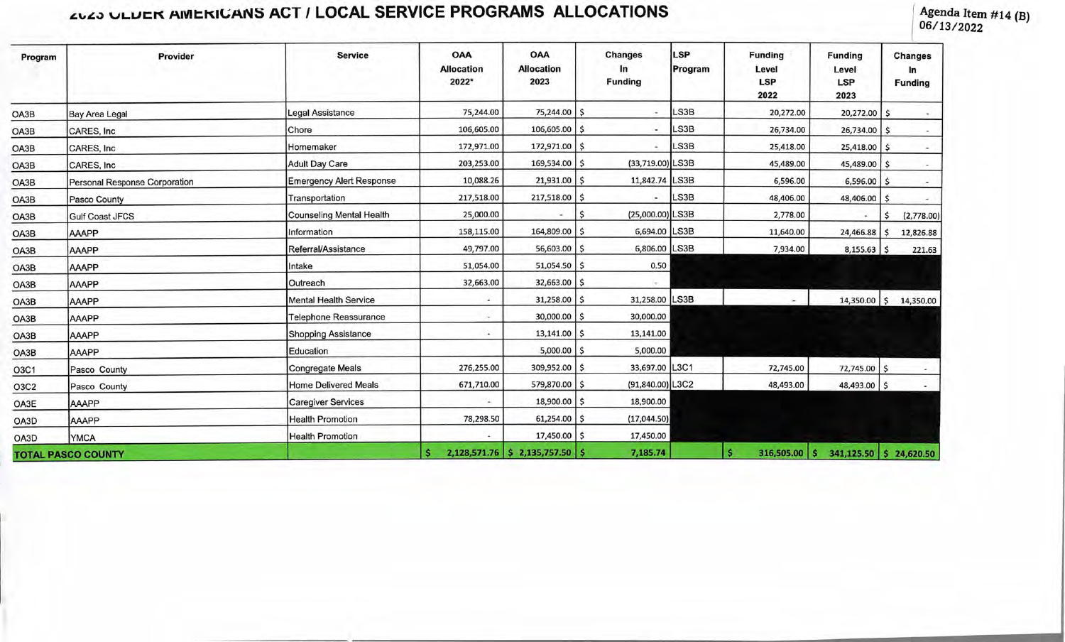## *AULO ULDER AMERICANS ACT / LOCAL SERVICE PROGRAMS ALLOCATIONS*

**06/1 3/2022** 

| Program                   | Provider                             | <b>Service</b>                  | <b>OAA</b><br><b>Allocation</b><br>2022* | <b>OAA</b><br><b>Allocation</b><br>2023 | <b>Changes</b><br>In<br><b>Funding</b> | <b>LSP</b><br>Program | <b>Funding</b><br>Level<br><b>LSP</b><br>2022 | <b>Funding</b><br>Level<br><b>LSP</b><br>2023 | <b>Changes</b><br>In<br><b>Funding</b> |
|---------------------------|--------------------------------------|---------------------------------|------------------------------------------|-----------------------------------------|----------------------------------------|-----------------------|-----------------------------------------------|-----------------------------------------------|----------------------------------------|
| OA3B                      | <b>Bay Area Legal</b>                | <b>Legal Assistance</b>         | 75,244.00                                | 75,244.00 \$                            |                                        | LS3B                  | 20,272.00                                     | 20,272.00                                     | \$.                                    |
| OA3B                      | CARES, Inc.                          | Chore                           | 106,605.00                               | $106,605.00$ \$                         |                                        | LS3B                  | 26,734.00                                     | $26,734.00$ \$                                |                                        |
| OA3B                      | CARES, Inc.                          | Homemaker                       | 172,971.00                               | 172,971.00 \$                           |                                        | LS3B                  | 25,418.00                                     | $25,418.00$ \$                                |                                        |
| OA3B                      | CARES, Inc.                          | <b>Adult Day Care</b>           | 203,253.00                               | 169,534.00 \$                           | (33,719.00) LS3B                       |                       | 45,489.00                                     | 45,489.00 \$                                  |                                        |
| OA3B                      | <b>Personal Response Corporation</b> | <b>Emergency Alert Response</b> | 10,088.26                                | $21,931.00$ \$                          | 11,842.74 LS3B                         |                       | 6,596.00                                      | $6,596.00$ \$                                 |                                        |
| OA3B                      | Pasco County                         | Transportation                  | 217,518.00                               | 217,518.00 \$                           |                                        | LS3B                  | 48,406.00                                     | 48,406.00                                     | ×.                                     |
| OA3B                      | <b>Gulf Coast JFCS</b>               | <b>Counseling Mental Health</b> | 25,000.00                                |                                         | \$<br>(25,000.00) LS3B                 |                       | 2,778.00                                      | $\cdot$                                       | (2,778.00)<br>\$.                      |
| OA3B                      | AAAPP                                | Information                     | 158,115.00                               | 164,809.00 \$                           | 6,694.00 LS3B                          |                       | 11,640.00                                     | 24,466.88                                     | 12,826.88<br>Ś                         |
| OA3B                      | <b>AAAPP</b>                         | Referral/Assistance             | 49,797.00                                | 56,603.00 \$                            | 6,806.00 LS3B                          |                       | 7,934.00                                      | $8,155.63$ \$                                 | 221.63                                 |
| OA3B                      | AAAPP                                | Intake                          | 51,054.00                                | $51,054.50$ \$                          | 0.50                                   |                       |                                               |                                               |                                        |
| OA3B                      | <b>AAAPP</b>                         | Outreach                        | 32,663.00                                | 32,663.00 \$                            |                                        |                       |                                               |                                               |                                        |
| OA3B                      | <b>AAAPP</b>                         | <b>Mental Health Service</b>    | ×.                                       | $31,258.00$ \$                          | 31,258.00 LS3B                         |                       |                                               |                                               | 14,350.00 \$ 14,350.00                 |
| OA3B                      | AAAPP                                | Telephone Reassurance           | $\overline{\phantom{a}}$                 | $30,000.00$ $\mid$ \$                   | 30,000.00                              |                       |                                               |                                               |                                        |
| OA3B                      | AAAPP                                | <b>Shopping Assistance</b>      |                                          | $13,141.00$   \$                        | 13,141.00                              |                       |                                               |                                               |                                        |
| OA3B                      | AAAPP                                | Education                       |                                          | $5,000.00$ \ \$                         | 5,000.00                               |                       |                                               |                                               |                                        |
| O3C1                      | Pasco County                         | Congregate Meals                | 276,255.00                               | 309,952.00 \$                           | 33,697.00 L3C1                         |                       | 72,745.00                                     | 72,745.00 \$                                  |                                        |
| O3C2                      | Pasco County                         | <b>Home Delivered Meals</b>     | 671,710.00                               | 579,870.00 \$                           | (91,840.00) L3C2                       |                       | 48,493.00                                     | 48,493.00 \$                                  |                                        |
| OA3E                      | AAAPP                                | <b>Caregiver Services</b>       | ×.                                       | 18,900.00 \$                            | 18,900.00                              |                       |                                               |                                               |                                        |
| OA3D                      | AAAPP                                | <b>Health Promotion</b>         | 78,298.50                                | $61,254.00$ \$                          | (17,044.50)                            |                       |                                               |                                               |                                        |
| OA3D                      | <b>YMCA</b>                          | <b>Health Promotion</b>         | ÷                                        | 17,450.00 \$                            | 17,450.00                              |                       |                                               |                                               |                                        |
| <b>TOTAL PASCO COUNTY</b> |                                      |                                 |                                          | 2,128,571.76 \$ 2,135,757.50 \$         | 7,185.74                               |                       | $\mathbf{s}$<br>$316,505.00$ \$               | 341,125.50 \$ 24,620.50                       |                                        |